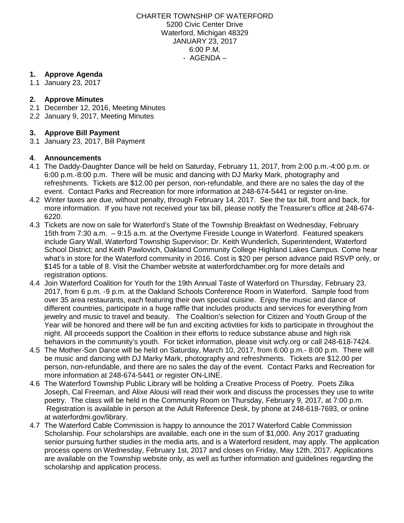CHARTER TOWNSHIP OF WATERFORD 5200 Civic Center Drive Waterford, Michigan 48329 JANUARY 23, 2017 6:00 P.M. - AGENDA –

# **1. Approve Agenda**

1.1 January 23, 2017

# **2. Approve Minutes**

- 2.1 December 12, 2016, Meeting Minutes
- 2.2 January 9, 2017, Meeting Minutes

# **3. Approve Bill Payment**

3.1 January 23, 2017, Bill Payment

### **4**. **Announcements**

- 4.1 The Daddy-Daughter Dance will be held on Saturday, February 11, 2017, from 2:00 p.m.-4:00 p.m. or 6:00 p.m.-8:00 p.m. There will be music and dancing with DJ Marky Mark, photography and refreshments. Tickets are \$12.00 per person, non-refundable, and there are no sales the day of the event. Contact Parks and Recreation for more information at 248-674-5441 or registe[r](http://webtrac.twp.waterford.mi.us/wbwsc/webtrac.wsc/wbsearch.html?xxmod=AR&xxtype=SPCEV&wbsi=bb19237e-755e-6ea6-e611-84dd4ad42e8e) [on-line.](http://webtrac.twp.waterford.mi.us/wbwsc/webtrac.wsc/wbsearch.html?xxmod=AR&xxtype=SPCEV&wbsi=bb19237e-755e-6ea6-e611-84dd4ad42e8e)
- 4.2 Winter taxes are due, without penalty, through February 14, 2017. See the tax bill, front and back, for more information. If you have not received your tax bill, please notify the Treasurer's office at 248-674- 6220.
- 4.3 Tickets are now on sale for Waterford's State of the Township Breakfast on Wednesday, February 15th from 7:30 a.m. – 9:15 a.m. at the Overtyme Fireside Lounge in Waterford. Featured speakers include Gary Wall, Waterford Township Supervisor; Dr. Keith Wunderlich, Superintendent, Waterford School District; and Keith Pawlovich, Oakland Community College Highland Lakes Campus. Come hear what's in store for the Waterford community in 2016. Cost is \$20 per person advance paid RSVP only, or \$145 for a table of 8. Visit the Chamber website at [waterfordchamber.org](http://www.waterfordchamber.org/) for more details and registration options.
- 4.4 Join Waterford Coalition for Youth for the 19th Annual Taste of Waterford on Thursday, February 23, 2017, from 6 p.m. -9 p.m. at the Oakland Schools Conference Room in Waterford. Sample food from over 35 area restaurants, each featuring their own special cuisine. Enjoy the music and dance of different countries, participate in a huge raffle that includes products and services for everything from jewelry and music to travel and beauty. The Coalition's selection for Citizen and Youth Group of the Year will be honored and there will be fun and exciting activities for kids to participate in throughout the night. All proceeds support the Coalition in their efforts to reduce substance abuse and high risk behaviors in the community's youth. For ticket information, please visit [wcfy.org](http://www.wcfy.org/) or call 248-618-7424.
- 4.5 The Mother-Son Dance will be held on Saturday, March 10, 2017, from 6:00 p.m.- 8:00 p.m. There will be music and dancing with DJ Marky Mark, photography and refreshments. Tickets are \$12.00 per person, non-refundable, and there are no sales the day of the event. Contact Parks and Recreation for more information at 248-674-5441 or register [ON-LINE.](http://webtrac.twp.waterford.mi.us/wbwsc/webtrac.wsc/wbsplash.html?wbp=1)
- 4.6 The Waterford Township Public Library will be holding a Creative Process of Poetry. Poets Zilka Joseph, Cal Freeman, and Alixe Alousi will read their work and discuss the processes they use to write poetry. The class will be held in the Community Room on Thursday, February 9, 2017, at 7:00 p.m. Registration is available in person at the Adult Reference Desk, by phone at 248-618-7693, or online at [waterfordmi.gov/library.](http://www.waterfordmi.gov/library)
- 4.7 The Waterford Cable Commission is happy to announce the 2017 Waterford Cable Commission Scholarship. Four scholarships are available, each one in the sum of \$1,000. Any 2017 graduating senior pursuing further studies in the media arts, and is a Waterford resident, may apply. The application process opens on Wednesday, February 1st, 2017 and closes on Friday, May 12th, 2017. Applications are available on the Township website only, as well as further information and guidelines regarding the scholarship and application process.